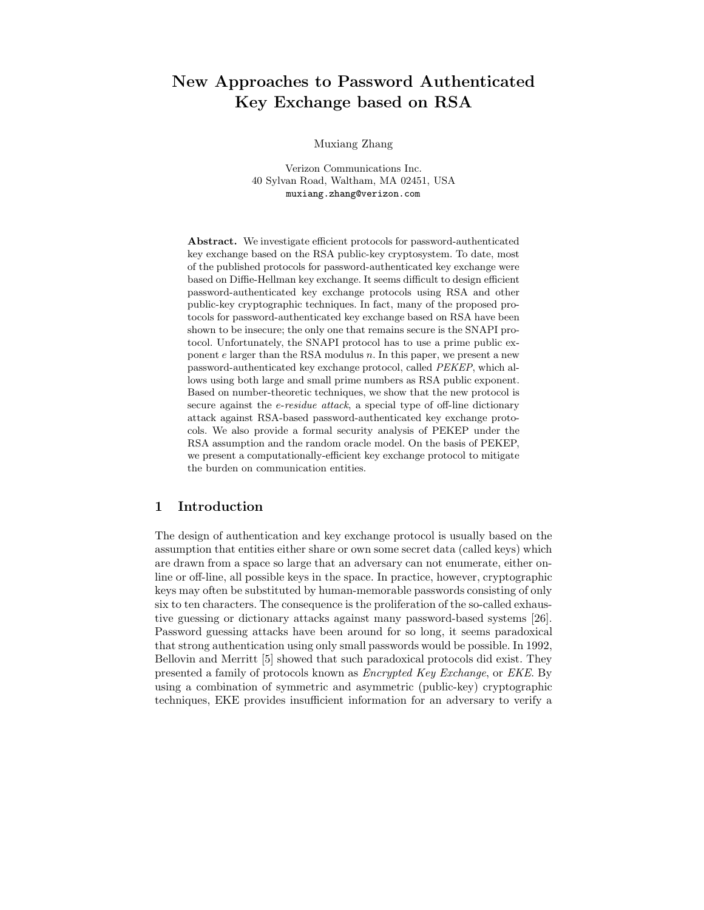# New Approaches to Password Authenticated Key Exchange based on RSA

Muxiang Zhang

Verizon Communications Inc. 40 Sylvan Road, Waltham, MA 02451, USA muxiang.zhang@verizon.com

Abstract. We investigate efficient protocols for password-authenticated key exchange based on the RSA public-key cryptosystem. To date, most of the published protocols for password-authenticated key exchange were based on Diffie-Hellman key exchange. It seems difficult to design efficient password-authenticated key exchange protocols using RSA and other public-key cryptographic techniques. In fact, many of the proposed protocols for password-authenticated key exchange based on RSA have been shown to be insecure; the only one that remains secure is the SNAPI protocol. Unfortunately, the SNAPI protocol has to use a prime public exponent  $e$  larger than the RSA modulus  $n$ . In this paper, we present a new password-authenticated key exchange protocol, called PEKEP, which allows using both large and small prime numbers as RSA public exponent. Based on number-theoretic techniques, we show that the new protocol is secure against the *e-residue attack*, a special type of off-line dictionary attack against RSA-based password-authenticated key exchange protocols. We also provide a formal security analysis of PEKEP under the RSA assumption and the random oracle model. On the basis of PEKEP, we present a computationally-efficient key exchange protocol to mitigate the burden on communication entities.

#### 1 Introduction

The design of authentication and key exchange protocol is usually based on the assumption that entities either share or own some secret data (called keys) which are drawn from a space so large that an adversary can not enumerate, either online or off-line, all possible keys in the space. In practice, however, cryptographic keys may often be substituted by human-memorable passwords consisting of only six to ten characters. The consequence is the proliferation of the so-called exhaustive guessing or dictionary attacks against many password-based systems [26]. Password guessing attacks have been around for so long, it seems paradoxical that strong authentication using only small passwords would be possible. In 1992, Bellovin and Merritt [5] showed that such paradoxical protocols did exist. They presented a family of protocols known as Encrypted Key Exchange, or EKE. By using a combination of symmetric and asymmetric (public-key) cryptographic techniques, EKE provides insufficient information for an adversary to verify a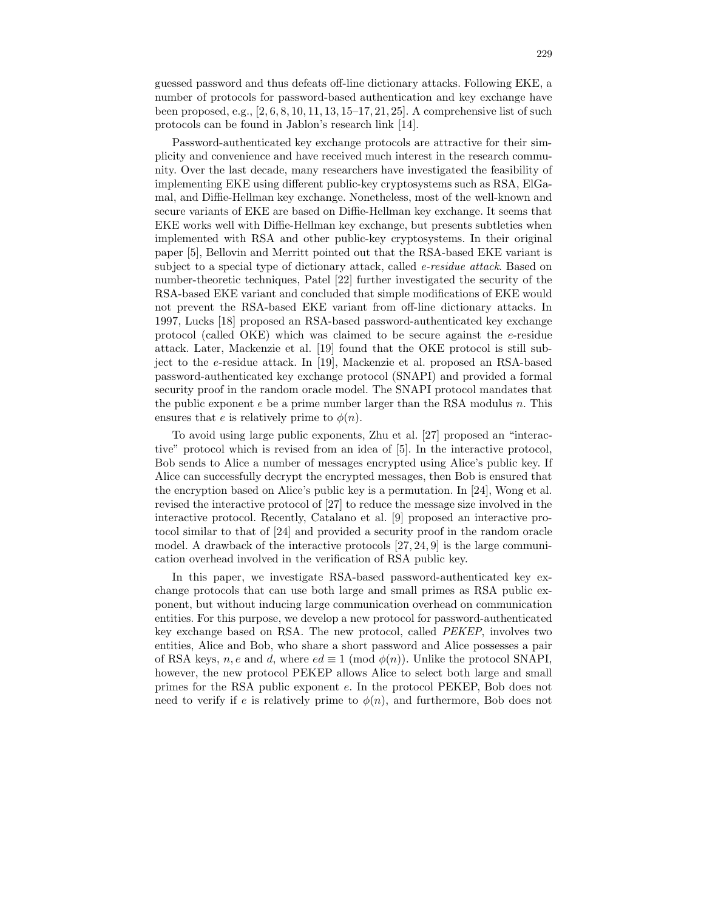guessed password and thus defeats off-line dictionary attacks. Following EKE, a number of protocols for password-based authentication and key exchange have been proposed, e.g.,  $[2, 6, 8, 10, 11, 13, 15–17, 21, 25]$ . A comprehensive list of such protocols can be found in Jablon's research link [14].

Password-authenticated key exchange protocols are attractive for their simplicity and convenience and have received much interest in the research community. Over the last decade, many researchers have investigated the feasibility of implementing EKE using different public-key cryptosystems such as RSA, ElGamal, and Diffie-Hellman key exchange. Nonetheless, most of the well-known and secure variants of EKE are based on Diffie-Hellman key exchange. It seems that EKE works well with Diffie-Hellman key exchange, but presents subtleties when implemented with RSA and other public-key cryptosystems. In their original paper [5], Bellovin and Merritt pointed out that the RSA-based EKE variant is subject to a special type of dictionary attack, called *e-residue attack*. Based on number-theoretic techniques, Patel [22] further investigated the security of the RSA-based EKE variant and concluded that simple modifications of EKE would not prevent the RSA-based EKE variant from off-line dictionary attacks. In 1997, Lucks [18] proposed an RSA-based password-authenticated key exchange protocol (called OKE) which was claimed to be secure against the e-residue attack. Later, Mackenzie et al. [19] found that the OKE protocol is still subject to the e-residue attack. In [19], Mackenzie et al. proposed an RSA-based password-authenticated key exchange protocol (SNAPI) and provided a formal security proof in the random oracle model. The SNAPI protocol mandates that the public exponent  $e$  be a prime number larger than the RSA modulus  $n$ . This ensures that e is relatively prime to  $\phi(n)$ .

To avoid using large public exponents, Zhu et al. [27] proposed an "interactive" protocol which is revised from an idea of [5]. In the interactive protocol, Bob sends to Alice a number of messages encrypted using Alice's public key. If Alice can successfully decrypt the encrypted messages, then Bob is ensured that the encryption based on Alice's public key is a permutation. In [24], Wong et al. revised the interactive protocol of [27] to reduce the message size involved in the interactive protocol. Recently, Catalano et al. [9] proposed an interactive protocol similar to that of [24] and provided a security proof in the random oracle model. A drawback of the interactive protocols [27, 24, 9] is the large communication overhead involved in the verification of RSA public key.

In this paper, we investigate RSA-based password-authenticated key exchange protocols that can use both large and small primes as RSA public exponent, but without inducing large communication overhead on communication entities. For this purpose, we develop a new protocol for password-authenticated key exchange based on RSA. The new protocol, called PEKEP, involves two entities, Alice and Bob, who share a short password and Alice possesses a pair of RSA keys, n, e and d, where  $ed \equiv 1 \pmod{\phi(n)}$ . Unlike the protocol SNAPI, however, the new protocol PEKEP allows Alice to select both large and small primes for the RSA public exponent e. In the protocol PEKEP, Bob does not need to verify if e is relatively prime to  $\phi(n)$ , and furthermore, Bob does not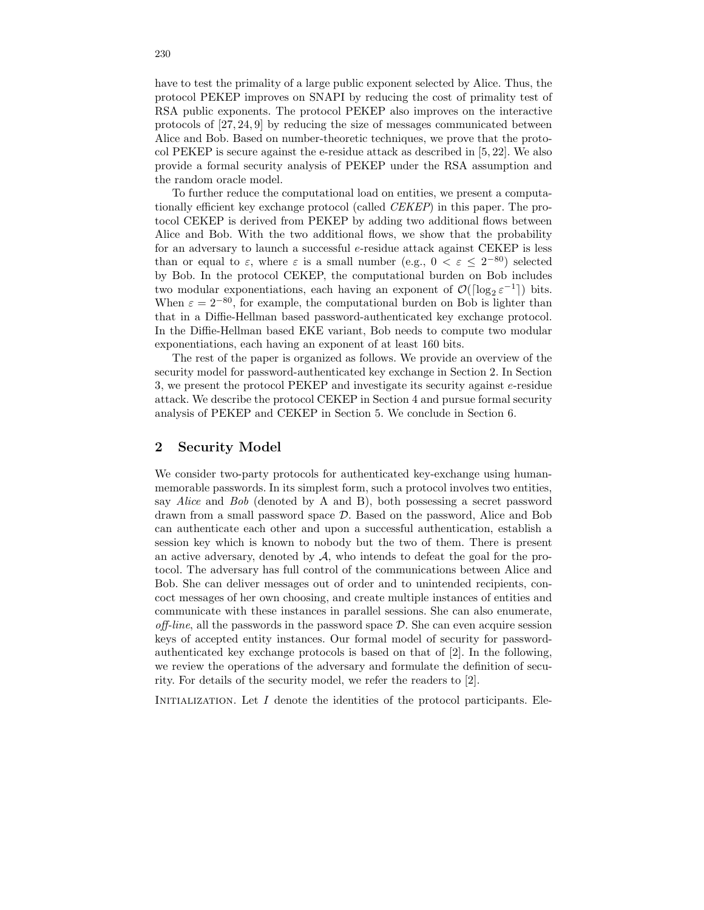have to test the primality of a large public exponent selected by Alice. Thus, the protocol PEKEP improves on SNAPI by reducing the cost of primality test of RSA public exponents. The protocol PEKEP also improves on the interactive protocols of [27, 24, 9] by reducing the size of messages communicated between Alice and Bob. Based on number-theoretic techniques, we prove that the protocol PEKEP is secure against the e-residue attack as described in [5, 22]. We also provide a formal security analysis of PEKEP under the RSA assumption and the random oracle model.

To further reduce the computational load on entities, we present a computationally efficient key exchange protocol (called CEKEP) in this paper. The protocol CEKEP is derived from PEKEP by adding two additional flows between Alice and Bob. With the two additional flows, we show that the probability for an adversary to launch a successful e-residue attack against CEKEP is less than or equal to  $\varepsilon$ , where  $\varepsilon$  is a small number (e.g.,  $0 < \varepsilon \leq 2^{-80}$ ) selected by Bob. In the protocol CEKEP, the computational burden on Bob includes two modular exponentiations, each having an exponent of  $\mathcal{O}(\lceil \log_2 \varepsilon^{-1} \rceil)$  bits. When  $\varepsilon = 2^{-80}$ , for example, the computational burden on Bob is lighter than that in a Diffie-Hellman based password-authenticated key exchange protocol. In the Diffie-Hellman based EKE variant, Bob needs to compute two modular exponentiations, each having an exponent of at least 160 bits.

The rest of the paper is organized as follows. We provide an overview of the security model for password-authenticated key exchange in Section 2. In Section 3, we present the protocol PEKEP and investigate its security against e-residue attack. We describe the protocol CEKEP in Section 4 and pursue formal security analysis of PEKEP and CEKEP in Section 5. We conclude in Section 6.

#### 2 Security Model

We consider two-party protocols for authenticated key-exchange using humanmemorable passwords. In its simplest form, such a protocol involves two entities, say Alice and Bob (denoted by A and B), both possessing a secret password drawn from a small password space D. Based on the password, Alice and Bob can authenticate each other and upon a successful authentication, establish a session key which is known to nobody but the two of them. There is present an active adversary, denoted by  $A$ , who intends to defeat the goal for the protocol. The adversary has full control of the communications between Alice and Bob. She can deliver messages out of order and to unintended recipients, concoct messages of her own choosing, and create multiple instances of entities and communicate with these instances in parallel sessions. She can also enumerate, off-line, all the passwords in the password space  $\mathcal{D}$ . She can even acquire session keys of accepted entity instances. Our formal model of security for passwordauthenticated key exchange protocols is based on that of [2]. In the following, we review the operations of the adversary and formulate the definition of security. For details of the security model, we refer the readers to [2].

INITIALIZATION. Let  $I$  denote the identities of the protocol participants. Ele-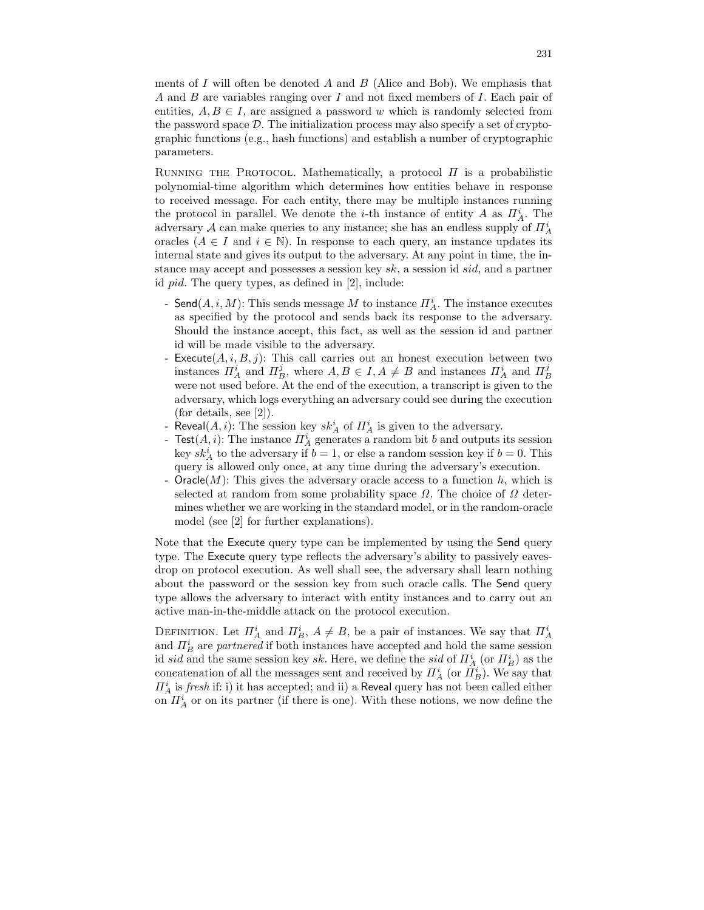ments of I will often be denoted A and B (Alice and Bob). We emphasis that A and B are variables ranging over I and not fixed members of I. Each pair of entities,  $A, B \in I$ , are assigned a password w which is randomly selected from the password space  $\mathcal{D}$ . The initialization process may also specify a set of cryptographic functions (e.g., hash functions) and establish a number of cryptographic parameters.

RUNNING THE PROTOCOL. Mathematically, a protocol  $\Pi$  is a probabilistic polynomial-time algorithm which determines how entities behave in response to received message. For each entity, there may be multiple instances running the protocol in parallel. We denote the *i*-th instance of entity A as  $\prod_{A}^{i}$ . The adversary  $\mathcal A$  can make queries to any instance; she has an endless supply of  $\Pi_A^i$ oracles ( $A \in I$  and  $i \in \mathbb{N}$ ). In response to each query, an instance updates its internal state and gives its output to the adversary. At any point in time, the instance may accept and possesses a session key sk, a session id sid, and a partner id pid. The query types, as defined in [2], include:

- Send $(A, i, M)$ : This sends message M to instance  $\overline{H}_A^i$ . The instance executes as specified by the protocol and sends back its response to the adversary. Should the instance accept, this fact, as well as the session id and partner id will be made visible to the adversary.
- Execute $(A, i, B, j)$ : This call carries out an honest execution between two instances  $\Pi_A^i$  and  $\Pi_B^j$ , where  $A, B \in I, A \neq B$  and instances  $\Pi_A^i$  and  $\Pi_B^j$ were not used before. At the end of the execution, a transcript is given to the adversary, which logs everything an adversary could see during the execution (for details, see [2]).
- Reveal $(A, i)$ : The session key  $sk_A^i$  of  $\prod_A^i$  is given to the adversary.
- Test $(A, i)$ : The instance  $\prod_{A}^{i}$  generates a random bit b and outputs its session key  $sk_A^i$  to the adversary if  $b = 1$ , or else a random session key if  $b = 0$ . This query is allowed only once, at any time during the adversary's execution.
- Oracle $(M)$ : This gives the adversary oracle access to a function h, which is selected at random from some probability space  $\Omega$ . The choice of  $\Omega$  determines whether we are working in the standard model, or in the random-oracle model (see [2] for further explanations).

Note that the Execute query type can be implemented by using the Send query type. The Execute query type reflects the adversary's ability to passively eavesdrop on protocol execution. As well shall see, the adversary shall learn nothing about the password or the session key from such oracle calls. The Send query type allows the adversary to interact with entity instances and to carry out an active man-in-the-middle attack on the protocol execution.

DEFINITION. Let  $\Pi_A^i$  and  $\Pi_B^i$ ,  $A \neq B$ , be a pair of instances. We say that  $\Pi_A^i$ and  $\Pi_B^i$  are *partnered* if both instances have accepted and hold the same session id sid and the same session key sk. Here, we define the sid of  $\prod_{A}^{i}$  (or  $\prod_{B}^{i}$ ) as the concatenation of all the messages sent and received by  $\prod_A^i$  (or  $\prod_B^i$ ). We say that  $\Pi_A^i$  is *fresh* if: i) it has accepted; and ii) a Reveal query has not been called either on  $\prod_A^i$  or on its partner (if there is one). With these notions, we now define the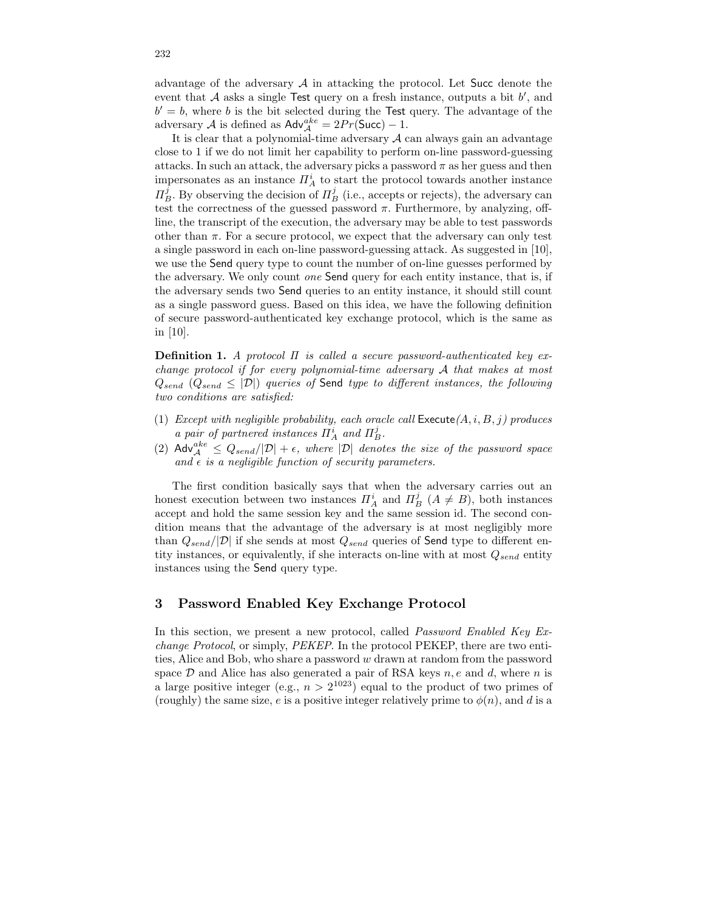advantage of the adversary  $A$  in attacking the protocol. Let Succ denote the event that  $A$  asks a single Test query on a fresh instance, outputs a bit  $b'$ , and  $b' = b$ , where b is the bit selected during the Test query. The advantage of the adversary A is defined as  $\mathsf{Adv}_{\mathcal{A}}^{ake} = 2Pr(\mathsf{Succ}) - 1.$ 

It is clear that a polynomial-time adversary  $A$  can always gain an advantage close to 1 if we do not limit her capability to perform on-line password-guessing attacks. In such an attack, the adversary picks a password  $\pi$  as her guess and then impersonates as an instance  $\Pi_A^i$  to start the protocol towards another instance  $\Pi^j_B$ . By observing the decision of  $\Pi^j_B$  (i.e., accepts or rejects), the adversary can test the correctness of the guessed password  $\pi$ . Furthermore, by analyzing, offline, the transcript of the execution, the adversary may be able to test passwords other than  $\pi$ . For a secure protocol, we expect that the adversary can only test a single password in each on-line password-guessing attack. As suggested in [10], we use the Send query type to count the number of on-line guesses performed by the adversary. We only count one Send query for each entity instance, that is, if the adversary sends two Send queries to an entity instance, it should still count as a single password guess. Based on this idea, we have the following definition of secure password-authenticated key exchange protocol, which is the same as in [10].

**Definition 1.** A protocol  $\Pi$  is called a secure password-authenticated key exchange protocol if for every polynomial-time adversary A that makes at most  $Q_{send}$  ( $Q_{send} \leq |\mathcal{D}|$ ) queries of Send type to different instances, the following two conditions are satisfied:

- (1) Except with negligible probability, each oracle call  $\mathsf{Execute}(A,i,B,j)$  produces a pair of partnered instances  $\Pi^i_A$  and  $\Pi^j_B$ .
- (2) Adv $\alpha_A^{ake} \leq Q_{send}/|\mathcal{D}| + \epsilon$ , where  $|\mathcal{D}|$  denotes the size of the password space and  $\epsilon$  is a negligible function of security parameters.

The first condition basically says that when the adversary carries out an honest execution between two instances  $\Pi_A^i$  and  $\Pi_B^j$  ( $A \neq B$ ), both instances accept and hold the same session key and the same session id. The second condition means that the advantage of the adversary is at most negligibly more than  $Q_{send}/|\mathcal{D}|$  if she sends at most  $Q_{send}$  queries of Send type to different entity instances, or equivalently, if she interacts on-line with at most  $Q_{send}$  entity instances using the Send query type.

#### 3 Password Enabled Key Exchange Protocol

In this section, we present a new protocol, called *Password Enabled Key Ex*change Protocol, or simply, PEKEP. In the protocol PEKEP, there are two entities, Alice and Bob, who share a password w drawn at random from the password space  $\mathcal D$  and Alice has also generated a pair of RSA keys n, e and d, where n is a large positive integer (e.g.,  $n > 2^{1023}$ ) equal to the product of two primes of (roughly) the same size, e is a positive integer relatively prime to  $\phi(n)$ , and d is a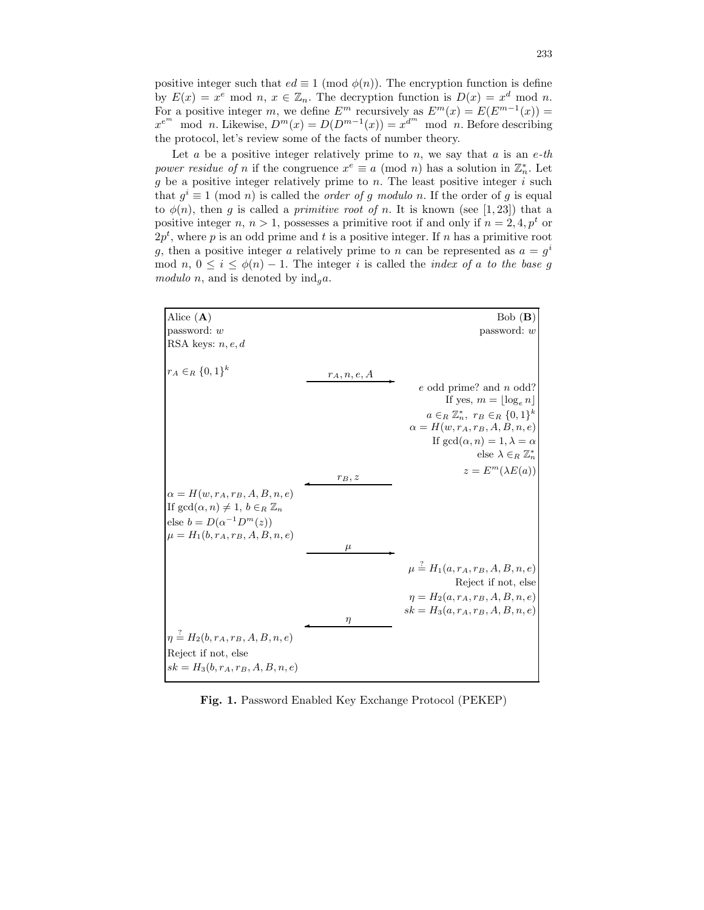positive integer such that  $ed \equiv 1 \pmod{\phi(n)}$ . The encryption function is define by  $E(x) = x^e \mod n$ ,  $x \in \mathbb{Z}_n$ . The decryption function is  $D(x) = x^d \mod n$ . For a positive integer m, we define  $E^m$  recursively as  $E^m(x) = E(E^{m-1}(x))$  $x^{e^m} \mod n$ . Likewise,  $D^m(x) = D(D^{m-1}(x)) = x^{d^m} \mod n$ . Before describing the protocol, let's review some of the facts of number theory.

Let a be a positive integer relatively prime to n, we say that a is an  $e$ -th power residue of n if the congruence  $x^e \equiv a \pmod{n}$  has a solution in  $\mathbb{Z}_n^*$ . Let  $g$  be a positive integer relatively prime to  $n$ . The least positive integer  $i$  such that  $g^i \equiv 1 \pmod{n}$  is called the *order of g modulo n*. If the order of g is equal to  $\phi(n)$ , then g is called a primitive root of n. It is known (see [1,23]) that a positive integer  $n, n > 1$ , possesses a primitive root if and only if  $n = 2, 4, p<sup>t</sup>$  or  $2p<sup>t</sup>$ , where p is an odd prime and t is a positive integer. If n has a primitive root g, then a positive integer a relatively prime to n can be represented as  $a = g^i$ mod  $n, 0 \leq i \leq \phi(n) - 1$ . The integer i is called the *index of a to the base g* modulo n, and is denoted by  $ind_a a$ .

| Alice $(A)$                                                                                                                                                          |                | $Bob(\mathbf{B})$                             |
|----------------------------------------------------------------------------------------------------------------------------------------------------------------------|----------------|-----------------------------------------------|
| password: $w$                                                                                                                                                        |                | password: $w$                                 |
| RSA keys: $n, e, d$                                                                                                                                                  |                |                                               |
|                                                                                                                                                                      |                |                                               |
| $r_A \in_R \{0,1\}^k$                                                                                                                                                | $r_A, n, e, A$ |                                               |
|                                                                                                                                                                      |                | $e$ odd prime? and n odd?                     |
|                                                                                                                                                                      |                | If yes, $m = \lfloor \log_e n \rfloor$        |
|                                                                                                                                                                      |                | $a \in_R \mathbb{Z}_n^*, r_B \in_R \{0,1\}^k$ |
|                                                                                                                                                                      |                | $\alpha = H(w, r_A, r_B, A, B, n, e)$         |
|                                                                                                                                                                      |                | If $gcd(\alpha, n) = 1, \lambda = \alpha$     |
|                                                                                                                                                                      |                | else $\lambda \in_R \mathbb{Z}_n^*$           |
|                                                                                                                                                                      |                | $z = E^m(\lambda E(a))$                       |
|                                                                                                                                                                      | $r_B, z$       |                                               |
| $\alpha = H(w, r_A, r_B, A, B, n, e)$<br>If $gcd(\alpha, n) \neq 1, b \in_R \mathbb{Z}_n$<br>else $b = D(\alpha^{-1}D^m(z))$<br>$\mu = H_1(b, r_A, r_B, A, B, n, e)$ |                |                                               |
|                                                                                                                                                                      | $\mu$          |                                               |
|                                                                                                                                                                      |                |                                               |
|                                                                                                                                                                      |                | $\mu = H_1(a, r_A, r_B, A, B, n, e)$          |
|                                                                                                                                                                      |                | Reject if not, else                           |
|                                                                                                                                                                      |                | $\eta = H_2(a, r_A, r_B, A, B, n, e)$         |
|                                                                                                                                                                      |                | $sk = H_3(a, r_A, r_B, A, B, n, e)$           |
|                                                                                                                                                                      | $\eta$         |                                               |
| $\eta \stackrel{?}{=} H_2(b, r_A, r_B, A, B, n, e)$                                                                                                                  |                |                                               |
| Reject if not, else                                                                                                                                                  |                |                                               |
| $sk = H_3(b, r_A, r_B, A, B, n, e)$                                                                                                                                  |                |                                               |
|                                                                                                                                                                      |                |                                               |

Fig. 1. Password Enabled Key Exchange Protocol (PEKEP)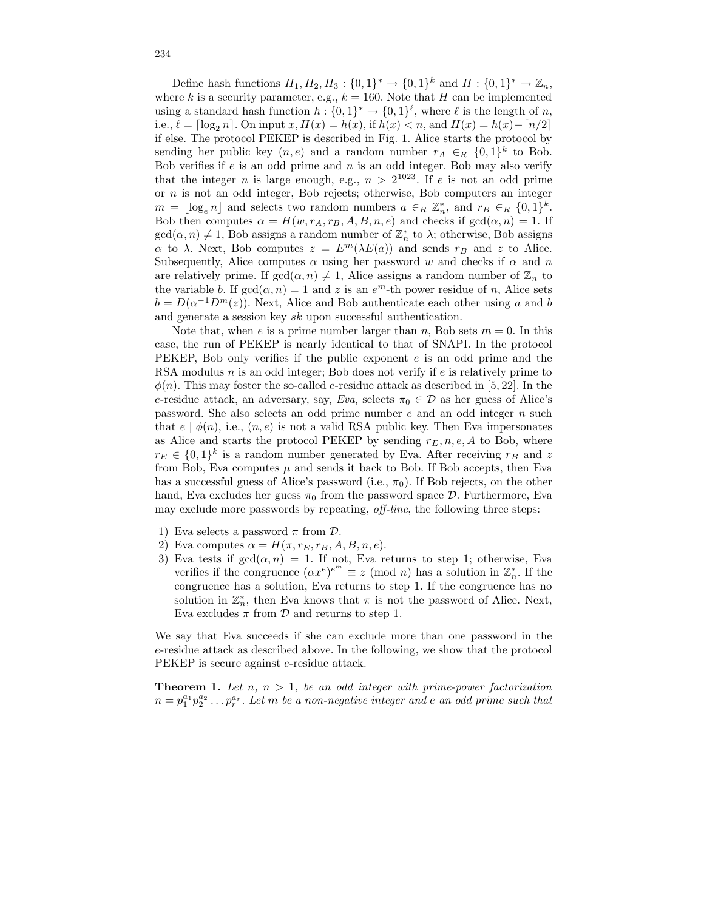Define hash functions  $H_1, H_2, H_3: \{0,1\}^* \to \{0,1\}^k$  and  $H: \{0,1\}^* \to \mathbb{Z}_n$ , where k is a security parameter, e.g.,  $k = 160$ . Note that H can be implemented using a standard hash function  $h: \{0,1\}^* \to \{0,1\}^{\ell}$ , where  $\ell$  is the length of n, i.e.,  $\ell = \lceil \log_2 n \rceil$ . On input  $x, H(x) = h(x)$ , if  $h(x) < n$ , and  $H(x) = h(x) - \lceil n/2 \rceil$ if else. The protocol PEKEP is described in Fig. 1. Alice starts the protocol by sending her public key  $(n, e)$  and a random number  $r_A \in_R \{0, 1\}^k$  to Bob. Bob verifies if  $e$  is an odd prime and  $n$  is an odd integer. Bob may also verify that the integer *n* is large enough, e.g.,  $n > 2^{1023}$ . If *e* is not an odd prime or n is not an odd integer, Bob rejects; otherwise, Bob computers an integer  $m = \lfloor \log_e n \rfloor$  and selects two random numbers  $a \in_R \mathbb{Z}_n^*$ , and  $r_B \in_R \{0,1\}^k$ . Bob then computes  $\alpha = H(w, r_A, r_B, A, B, n, e)$  and checks if  $gcd(\alpha, n) = 1$ . If  $gcd(\alpha, n) \neq 1$ , Bob assigns a random number of  $\mathbb{Z}_n^*$  to  $\lambda$ ; otherwise, Bob assigns  $\alpha$  to  $\lambda$ . Next, Bob computes  $z = E^m(\lambda E(a))$  and sends  $r_B$  and z to Alice. Subsequently, Alice computes  $\alpha$  using her password w and checks if  $\alpha$  and n are relatively prime. If  $gcd(\alpha, n) \neq 1$ , Alice assigns a random number of  $\mathbb{Z}_n$  to the variable b. If  $gcd(\alpha, n) = 1$  and z is an  $e^m$ -th power residue of n, Alice sets  $b = D(\alpha^{-1}D^m(z))$ . Next, Alice and Bob authenticate each other using a and b and generate a session key sk upon successful authentication.

Note that, when e is a prime number larger than n, Bob sets  $m = 0$ . In this case, the run of PEKEP is nearly identical to that of SNAPI. In the protocol PEKEP, Bob only verifies if the public exponent e is an odd prime and the RSA modulus  $n$  is an odd integer; Bob does not verify if  $e$  is relatively prime to  $\phi(n)$ . This may foster the so-called e-residue attack as described in [5, 22]. In the e-residue attack, an adversary, say, Eva, selects  $\pi_0 \in \mathcal{D}$  as her guess of Alice's password. She also selects an odd prime number e and an odd integer n such that  $e \mid \phi(n)$ , i.e.,  $(n, e)$  is not a valid RSA public key. Then Eva impersonates as Alice and starts the protocol PEKEP by sending  $r_E, n, e, A$  to Bob, where  $r_E \in \{0,1\}^k$  is a random number generated by Eva. After receiving  $r_B$  and z from Bob, Eva computes  $\mu$  and sends it back to Bob. If Bob accepts, then Eva has a successful guess of Alice's password (i.e.,  $\pi_0$ ). If Bob rejects, on the other hand, Eva excludes her guess  $\pi_0$  from the password space D. Furthermore, Eva may exclude more passwords by repeating, off-line, the following three steps:

- 1) Eva selects a password  $\pi$  from  $\mathcal{D}$ .
- 2) Eva computes  $\alpha = H(\pi, r_E, r_B, A, B, n, e)$ .
- 3) Eva tests if  $gcd(\alpha, n) = 1$ . If not, Eva returns to step 1; otherwise, Eva verifies if the congruence  $(\alpha x^e)^{e^m} \equiv z \pmod{n}$  has a solution in  $\mathbb{Z}_n^*$ . If the congruence has a solution, Eva returns to step 1. If the congruence has no solution in  $\mathbb{Z}_n^*$ , then Eva knows that  $\pi$  is not the password of Alice. Next, Eva excludes  $\pi$  from  $\mathcal D$  and returns to step 1.

We say that Eva succeeds if she can exclude more than one password in the e-residue attack as described above. In the following, we show that the protocol PEKEP is secure against e-residue attack.

**Theorem 1.** Let n,  $n > 1$ , be an odd integer with prime-power factorization  $n = p_1^{a_1} p_2^{a_2} \dots p_r^{a_r}$ . Let m be a non-negative integer and e an odd prime such that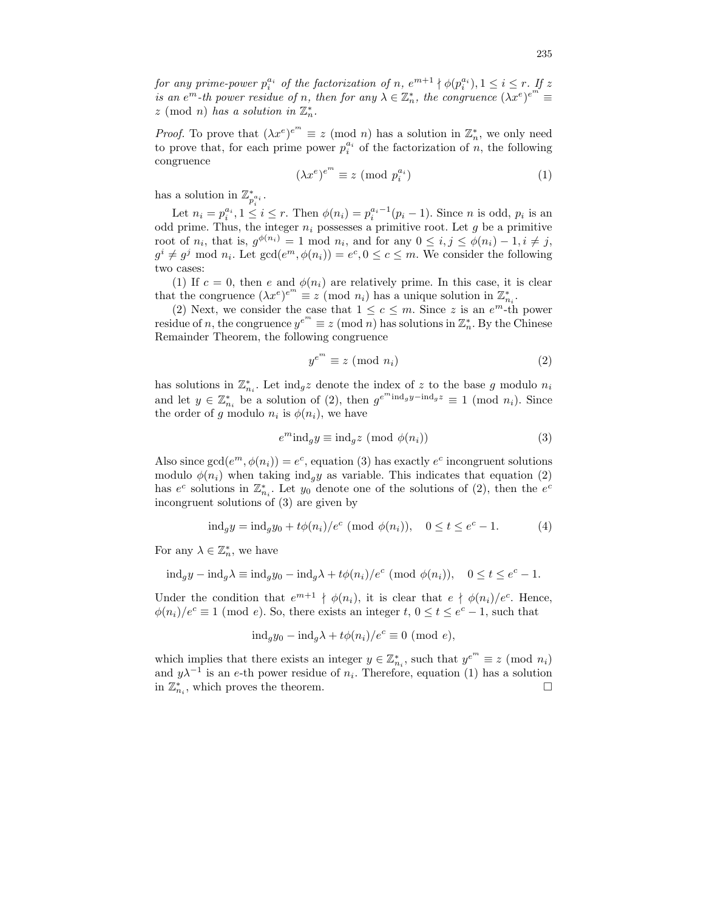for any prime-power  $p_i^{a_i}$  of the factorization of n,  $e^{m+1} \nmid \phi(p_i^{a_i}), 1 \leq i \leq r$ . If z is an  $e^m$ -th power residue of n, then for any  $\lambda \in \mathbb{Z}_n^*$ , the congruence  $(\lambda x^e)^{e^m} \equiv$  $z \pmod{n}$  has a solution in  $\mathbb{Z}_n^*$ .

*Proof.* To prove that  $(\lambda x^e)^{e^m} \equiv z \pmod{n}$  has a solution in  $\mathbb{Z}_n^*$ , we only need to prove that, for each prime power  $p_i^{a_i}$  of the factorization of n, the following congruence

$$
(\lambda x^e)^{e^m} \equiv z \pmod{p_i^{a_i}}
$$
 (1)

has a solution in  $\mathbb{Z}_{p_i^{a_i}}^*$ .

Let  $n_i = p_i^{a_i}, 1 \leq i \leq r$ . Then  $\phi(n_i) = p_i^{a_i-1}(p_i-1)$ . Since *n* is odd,  $p_i$  is an odd prime. Thus, the integer  $n_i$  possesses a primitive root. Let g be a primitive root of  $n_i$ , that is,  $g^{\phi(n_i)} = 1 \mod n_i$ , and for any  $0 \le i, j \le \phi(n_i) - 1, i \ne j$ ,  $g^i \neq g^j \mod n_i$ . Let  $gcd(e^m, \phi(n_i)) = e^c, 0 \leq c \leq m$ . We consider the following two cases:

(1) If  $c = 0$ , then e and  $\phi(n_i)$  are relatively prime. In this case, it is clear that the congruence  $(\lambda x^e)^{e^m} \equiv z \pmod{n_i}$  has a unique solution in  $\mathbb{Z}_{n_i}^*$ .

(2) Next, we consider the case that  $1 \leq c \leq m$ . Since z is an  $e^{m}$ -th power residue of n, the congruence  $y^{e^m} \equiv z \pmod{n}$  has solutions in  $\mathbb{Z}_n^*$ . By the Chinese Remainder Theorem, the following congruence

$$
y^{e^m} \equiv z \pmod{n_i}
$$
 (2)

has solutions in  $\mathbb{Z}_{n_i}^*$ . Let  $\text{ind}_g z$  denote the index of z to the base g modulo  $n_i$ and let  $y \in \mathbb{Z}_{n_i}^*$  be a solution of (2), then  $g^{e^m \text{ind}_g y - \text{ind}_g z} \equiv 1 \pmod{n_i}$ . Since the order of g modulo  $n_i$  is  $\phi(n_i)$ , we have

$$
e^{m} \text{ind}_{g} y \equiv \text{ind}_{g} z \pmod{\phi(n_{i})}
$$
\n(3)

Also since  $gcd(e^m, \phi(n_i)) = e^c$ , equation (3) has exactly  $e^c$  incongruent solutions modulo  $\phi(n_i)$  when taking  $ind_q y$  as variable. This indicates that equation (2) has  $e^c$  solutions in  $\mathbb{Z}_{n_i}^*$ . Let  $y_0$  denote one of the solutions of (2), then the  $e^c$ incongruent solutions of (3) are given by

$$
ind_g y = ind_g y_0 + t\phi(n_i)/e^c \pmod{\phi(n_i)}, \quad 0 \le t \le e^c - 1.
$$
 (4)

For any  $\lambda \in \mathbb{Z}_n^*$ , we have

$$
ind_g y - ind_g \lambda \equiv ind_g y_0 - ind_g \lambda + t\phi(n_i)/e^c \pmod{\phi(n_i)}, \quad 0 \le t \le e^c - 1.
$$

Under the condition that  $e^{m+1} \nmid \phi(n_i)$ , it is clear that  $e \nmid \phi(n_i)/e^c$ . Hence,  $\phi(n_i)/e^c \equiv 1 \pmod{e}$ . So, there exists an integer  $t, 0 \le t \le e^c - 1$ , such that

$$
ind_{g} y_{0} - ind_{g} \lambda + t\phi(n_{i})/e^{c} \equiv 0 \pmod{e},
$$

which implies that there exists an integer  $y \in \mathbb{Z}_{n_i}^*$ , such that  $y^{e^m} \equiv z \pmod{n_i}$ and  $y\lambda^{-1}$  is an e-th power residue of  $n_i$ . Therefore, equation (1) has a solution in  $\mathbb{Z}_{n_i}^*$ , which proves the theorem.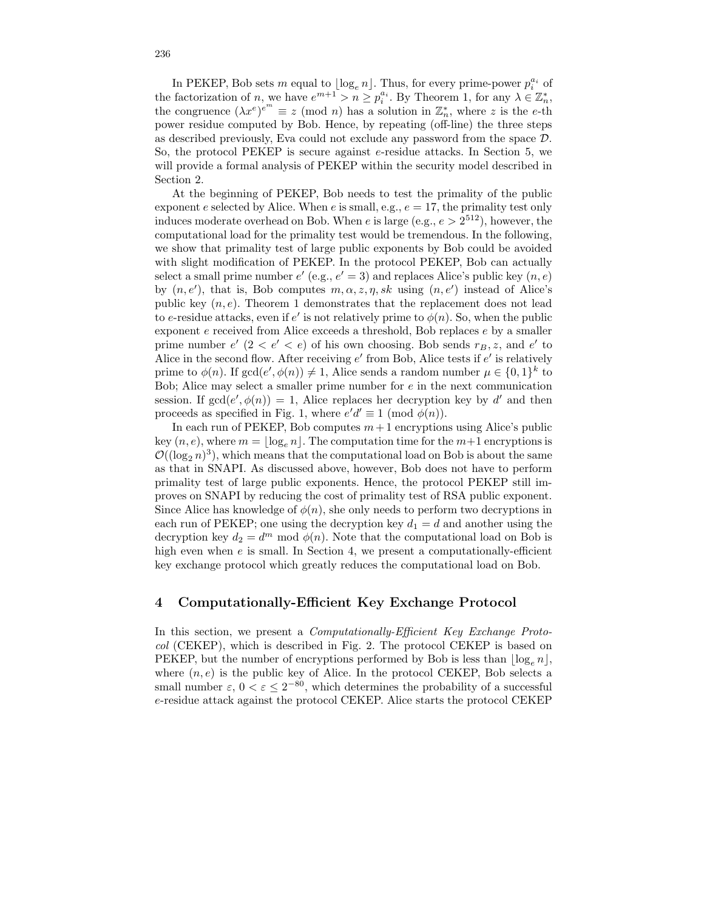In PEKEP, Bob sets m equal to  $\lfloor \log_e n \rfloor$ . Thus, for every prime-power  $p_i^{a_i}$  of the factorization of n, we have  $e^{m+1} > n \geq p_i^{a_i}$ . By Theorem 1, for any  $\lambda \in \mathbb{Z}_n^*$ , the congruence  $(\lambda x^e)^{e^m} \equiv z \pmod{n}$  has a solution in  $\mathbb{Z}_n^*$ , where z is the e-th power residue computed by Bob. Hence, by repeating (off-line) the three steps as described previously, Eva could not exclude any password from the space D. So, the protocol PEKEP is secure against e-residue attacks. In Section 5, we will provide a formal analysis of PEKEP within the security model described in Section 2.

At the beginning of PEKEP, Bob needs to test the primality of the public exponent e selected by Alice. When e is small, e.g.,  $e = 17$ , the primality test only induces moderate overhead on Bob. When e is large (e.g.,  $e > 2^{512}$ ), however, the computational load for the primality test would be tremendous. In the following, we show that primality test of large public exponents by Bob could be avoided with slight modification of PEKEP. In the protocol PEKEP, Bob can actually select a small prime number  $e'$  (e.g.,  $e' = 3$ ) and replaces Alice's public key  $(n, e)$ by  $(n, e')$ , that is, Bob computes  $m, \alpha, z, \eta, sk$  using  $(n, e')$  instead of Alice's public key  $(n, e)$ . Theorem 1 demonstrates that the replacement does not lead to e-residue attacks, even if  $e'$  is not relatively prime to  $\phi(n)$ . So, when the public exponent e received from Alice exceeds a threshold, Bob replaces e by a smaller prime number  $e'$   $(2 < e' < e)$  of his own choosing. Bob sends  $r_B, z$ , and  $e'$  to Alice in the second flow. After receiving  $e'$  from Bob, Alice tests if  $e'$  is relatively prime to  $\phi(n)$ . If  $gcd(e', \phi(n)) \neq 1$ , Alice sends a random number  $\mu \in \{0, 1\}^k$  to Bob; Alice may select a smaller prime number for  $e$  in the next communication session. If  $gcd(e', \phi(n)) = 1$ , Alice replaces her decryption key by d' and then proceeds as specified in Fig. 1, where  $e'd' \equiv 1 \pmod{\phi(n)}$ .

In each run of PEKEP, Bob computes  $m+1$  encryptions using Alice's public key  $(n, e)$ , where  $m = \lfloor \log_e n \rfloor$ . The computation time for the  $m+1$  encryptions is  $\mathcal{O}((\log_2 n)^3)$ , which means that the computational load on Bob is about the same as that in SNAPI. As discussed above, however, Bob does not have to perform primality test of large public exponents. Hence, the protocol PEKEP still improves on SNAPI by reducing the cost of primality test of RSA public exponent. Since Alice has knowledge of  $\phi(n)$ , she only needs to perform two decryptions in each run of PEKEP; one using the decryption key  $d_1 = d$  and another using the decryption key  $d_2 = d^m \mod \phi(n)$ . Note that the computational load on Bob is high even when  $e$  is small. In Section 4, we present a computationally-efficient key exchange protocol which greatly reduces the computational load on Bob.

#### 4 Computationally-Efficient Key Exchange Protocol

In this section, we present a *Computationally-Efficient Key Exchange Proto*col (CEKEP), which is described in Fig. 2. The protocol CEKEP is based on PEKEP, but the number of encryptions performed by Bob is less than  $\log_e n$ , where  $(n, e)$  is the public key of Alice. In the protocol CEKEP, Bob selects a small number  $\varepsilon$ ,  $0 < \varepsilon \leq 2^{-80}$ , which determines the probability of a successful e-residue attack against the protocol CEKEP. Alice starts the protocol CEKEP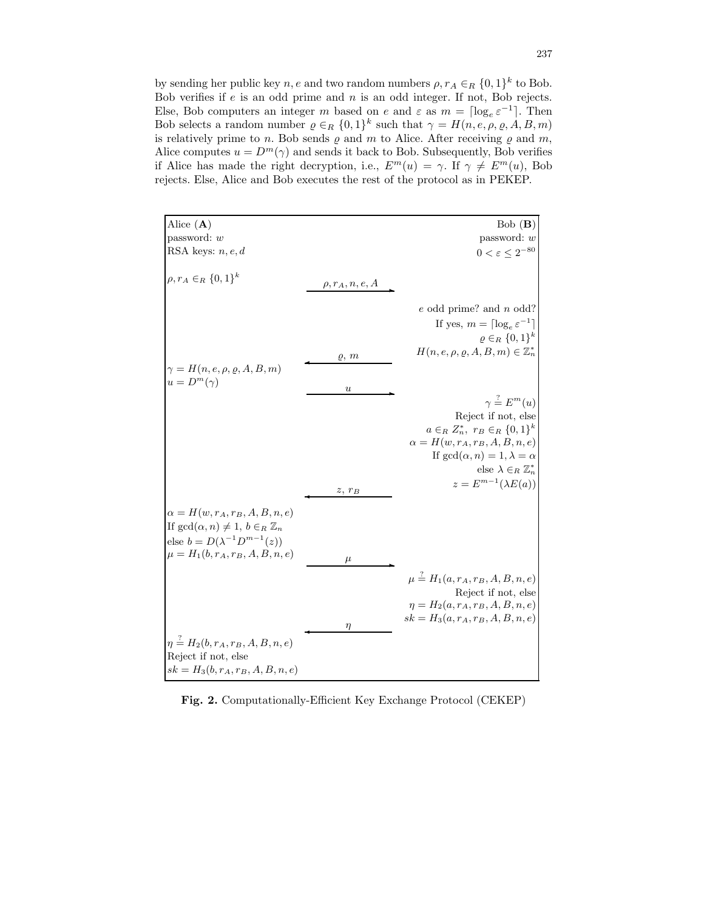by sending her public key  $n, e$  and two random numbers  $\rho, r_A \in_R \{0, 1\}^k$  to Bob. Bob verifies if  $e$  is an odd prime and  $n$  is an odd integer. If not, Bob rejects. Else, Bob computers an integer m based on e and  $\varepsilon$  as  $m = \lceil \log_e \varepsilon^{-1} \rceil$ . Then Bob selects a random number  $\varrho \in_R \{0,1\}^k$  such that  $\gamma = H(n, e, \rho, \varrho, A, B, m)$ is relatively prime to n. Bob sends  $\varrho$  and m to Alice. After receiving  $\varrho$  and m, Alice computes  $u = D^m(\gamma)$  and sends it back to Bob. Subsequently, Bob verifies if Alice has made the right decryption, i.e.,  $E^m(u) = \gamma$ . If  $\gamma \neq E^m(u)$ , Bob rejects. Else, Alice and Bob executes the rest of the protocol as in PEKEP.

| Alice $(A)$                                         |                      | $Bob(\mathbf{B})$                                               |
|-----------------------------------------------------|----------------------|-----------------------------------------------------------------|
| password: $w$                                       |                      | password: $w$                                                   |
| RSA keys: $n, e, d$                                 |                      | $0 < \varepsilon \leq 2^{-80}$                                  |
| $\rho, r_A \in_R \{0,1\}^k$                         | $\rho, r_A, n, e, A$ |                                                                 |
|                                                     |                      | $e$ odd prime? and $n$ odd?                                     |
|                                                     |                      | If yes, $m = \lceil \log_e \varepsilon^{-1} \rceil$             |
|                                                     |                      | $\rho \in_R \{0,1\}^k$                                          |
|                                                     |                      |                                                                 |
|                                                     | $\varrho, m$         | $H(n, e, \rho, \varrho, A, B, m) \in \mathbb{Z}_n^*$            |
| $\gamma = H(n, e, \rho, \rho, A, B, m)$             |                      |                                                                 |
| $u = D^m(\gamma)$                                   | $\boldsymbol{u}$     |                                                                 |
|                                                     |                      | $\gamma \stackrel{?}{=} E^m(u)$                                 |
|                                                     |                      | Reject if not, else                                             |
|                                                     |                      | $a \in_R Z_n^*$ , $r_B \in_R \{0,1\}^k$                         |
|                                                     |                      | $\alpha = H(w, r_A, r_B, A, B, n, e)$                           |
|                                                     |                      | If $gcd(\alpha, n) = 1, \lambda = \alpha$                       |
|                                                     |                      | else $\lambda \in_R \mathbb{Z}_n^*$                             |
|                                                     |                      | $z = E^{m-1}(\lambda E(a))$                                     |
|                                                     | $z, r_B$             |                                                                 |
| $\alpha = H(w, r_A, r_B, A, B, n, e)$               |                      |                                                                 |
| If $gcd(\alpha, n) \neq 1, b \in_R \mathbb{Z}_n$    |                      |                                                                 |
| else $b = D(\lambda^{-1}D^{m-1}(z))$                |                      |                                                                 |
| $\mu = H_1(b, r_A, r_B, A, B, n, e)$                | $\mu$                |                                                                 |
|                                                     |                      |                                                                 |
|                                                     |                      | $\mu \stackrel{\text{\tiny ?}}{=} H_1(a, r_A, r_B, A, B, n, e)$ |
|                                                     |                      | Reject if not, else<br>$\eta = H_2(a, r_A, r_B, A, B, n, e)$    |
|                                                     |                      | $sk = H_3(a, r_A, r_B, A, B, n, e)$                             |
|                                                     | $\eta$               |                                                                 |
| $\eta \stackrel{?}{=} H_2(b, r_A, r_B, A, B, n, e)$ |                      |                                                                 |
| Reject if not, else                                 |                      |                                                                 |
| $sk = H_3(b, r_A, r_B, A, B, n, e)$                 |                      |                                                                 |

Fig. 2. Computationally-Efficient Key Exchange Protocol (CEKEP)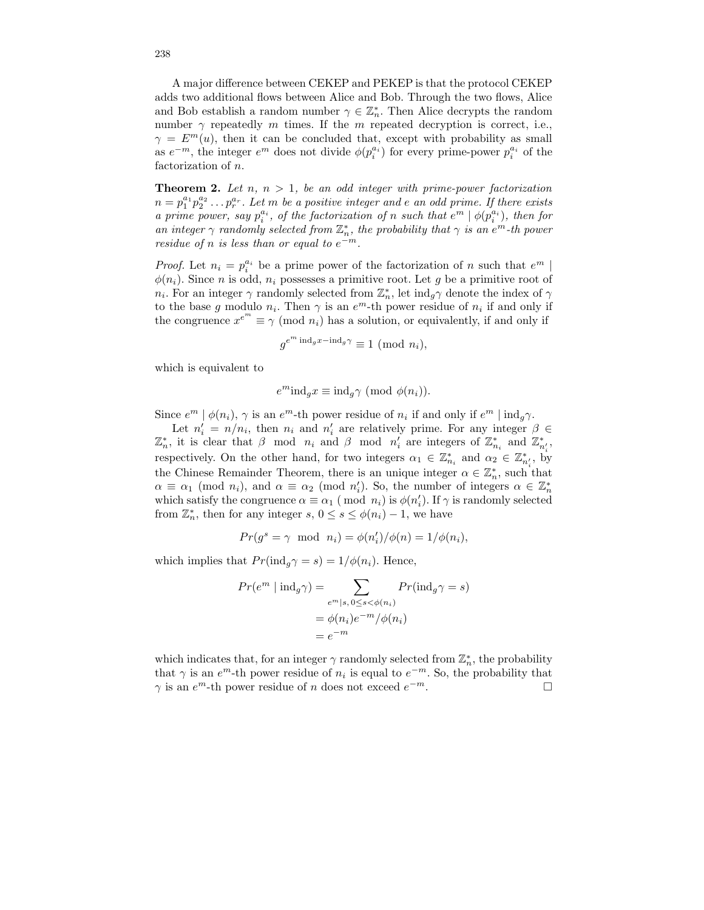A major difference between CEKEP and PEKEP is that the protocol CEKEP adds two additional flows between Alice and Bob. Through the two flows, Alice and Bob establish a random number  $\gamma \in \mathbb{Z}_n^*$ . Then Alice decrypts the random number  $\gamma$  repeatedly m times. If the m repeated decryption is correct, i.e.,  $\gamma = E^{m}(u)$ , then it can be concluded that, except with probability as small as  $e^{-m}$ , the integer  $e^m$  does not divide  $\phi(p_i^{a_i})$  for every prime-power  $p_i^{a_i}$  of the factorization of n.

**Theorem 2.** Let  $n, n > 1$ , be an odd integer with prime-power factorization  $n = p_1^{a_1} p_2^{a_2} \dots p_r^{a_r}$ . Let m be a positive integer and e an odd prime. If there exists a prime power, say  $p_i^{a_i}$ , of the factorization of n such that  $e^m | \phi(p_i^{a_i})$ , then for an integer  $\gamma$  randomly selected from  $\mathbb{Z}_n^*$ , the probability that  $\gamma$  is an  $e^m$ -th power residue of n is less than or equal to  $e^{-m}$ .

*Proof.* Let  $n_i = p_i^{a_i}$  be a prime power of the factorization of n such that  $e^m$  $\phi(n_i)$ . Since *n* is odd,  $n_i$  possesses a primitive root. Let g be a primitive root of  $n_i$ . For an integer  $\gamma$  randomly selected from  $\mathbb{Z}_n^*$ , let  $\text{ind}_g \gamma$  denote the index of  $\gamma$ to the base g modulo  $n_i$ . Then  $\gamma$  is an  $e^m$ -th power residue of  $n_i$  if and only if the congruence  $x^{e^m} \equiv \gamma \pmod{n_i}$  has a solution, or equivalently, if and only if

$$
g^{e^m \operatorname{ind}_g x - \operatorname{ind}_g \gamma} \equiv 1 \ (\operatorname{mod} \ n_i),
$$

which is equivalent to

$$
e^m \operatorname{ind}_g x \equiv \operatorname{ind}_g \gamma \pmod{\phi(n_i)}.
$$

Since  $e^m \mid \phi(n_i)$ ,  $\gamma$  is an  $e^m$ -th power residue of  $n_i$  if and only if  $e^m \mid \text{ind}_g \gamma$ .

Let  $n'_i = n/n_i$ , then  $n_i$  and  $n'_i$  are relatively prime. For any integer  $\beta \in$  $\mathbb{Z}_n^*$ , it is clear that  $\beta$  mod  $n_i$  and  $\beta$  mod  $n'_i$  are integers of  $\mathbb{Z}_{n_i}^*$  and  $\mathbb{Z}_{n'_i}^*$ , respectively. On the other hand, for two integers  $\alpha_1 \in \mathbb{Z}_{n_i}^*$  and  $\alpha_2 \in \mathbb{Z}_{n'_i}^*$ , by the Chinese Remainder Theorem, there is an unique integer  $\alpha \in \mathbb{Z}_n^*$ , such that  $\alpha \equiv \alpha_1 \pmod{n_i}$ , and  $\alpha \equiv \alpha_2 \pmod{n'_i}$ . So, the number of integers  $\alpha \in \mathbb{Z}_n^*$ which satisfy the congruence  $\alpha \equiv \alpha_1 \pmod{n_i}$  is  $\phi(n'_i)$ . If  $\gamma$  is randomly selected from  $\mathbb{Z}_n^*$ , then for any integer  $s, 0 \le s \le \phi(n_i) - 1$ , we have

$$
Pr(g^s = \gamma \mod n_i) = \phi(n'_i)/\phi(n) = 1/\phi(n_i),
$$

which implies that  $Pr(\text{ind}_q \gamma = s) = 1/\phi(n_i)$ . Hence,

$$
Pr(e^{m} | \text{ind}_{g}\gamma) = \sum_{\substack{e^{m} | s, 0 \le s < \phi(n_i) \\ \vdots \\ e^{m} \mid e^{-m}/\phi(n_i) \\ \vdots \\ e^{-m}}} Pr(\text{ind}_{g}\gamma = s)
$$

which indicates that, for an integer  $\gamma$  randomly selected from  $\mathbb{Z}_n^*$ , the probability that  $\gamma$  is an  $e^m$ -th power residue of  $n_i$  is equal to  $e^{-m}$ . So, the probability that  $\gamma$  is an  $e^m$ -th power residue of n does not exceed e  $-\frac{m}{\cdot}$ .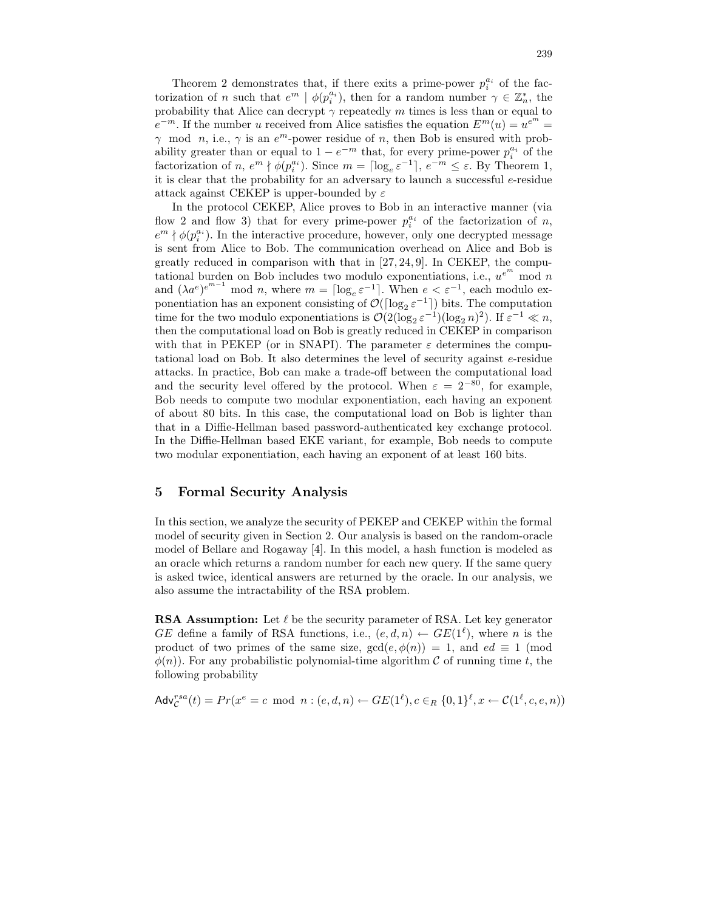Theorem 2 demonstrates that, if there exits a prime-power  $p_i^{a_i}$  of the factorization of n such that  $e^m \mid \phi(p_i^{a_i})$ , then for a random number  $\gamma \in \mathbb{Z}_n^*$ , the probability that Alice can decrypt  $\gamma$  repeatedly m times is less than or equal to  $e^{-m}$ . If the number u received from Alice satisfies the equation  $E^m(u) = u^{e^m} =$  $\gamma$  mod *n*, i.e.,  $\gamma$  is an  $e^m$ -power residue of *n*, then Bob is ensured with probability greater than or equal to  $1 - e^{-m}$  that, for every prime-power  $p_i^{a_i}$  of the factorization of n,  $e^m \nmid \phi(p_i^{a_i})$ . Since  $m = \lceil \log_e \varepsilon^{-1} \rceil$ ,  $e^{-m} \le \varepsilon$ . By Theorem 1, it is clear that the probability for an adversary to launch a successful  $e$ -residue attack against CEKEP is upper-bounded by  $\varepsilon$ 

In the protocol CEKEP, Alice proves to Bob in an interactive manner (via flow 2 and flow 3) that for every prime-power  $p_i^{a_i}$  of the factorization of n,  $e^m \nmid \phi(p_i^{a_i})$ . In the interactive procedure, however, only one decrypted message is sent from Alice to Bob. The communication overhead on Alice and Bob is greatly reduced in comparison with that in [27, 24, 9]. In CEKEP, the computational burden on Bob includes two modulo exponentiations, i.e.,  $u^{e^m}$  mod n and  $(\lambda a^e)^{e^{m-1}}$  mod n, where  $m = \lceil \log_e e^{-1} \rceil$ . When  $e < \varepsilon^{-1}$ , each modulo exponentiation has an exponent consisting of  $\mathcal{O}(\lceil \log_2 \varepsilon^{-1} \rceil)$  bits. The computation time for the two modulo exponentiations is  $\mathcal{O}(2(\log_2 \varepsilon^{-1})(\log_2 n)^2)$ . If  $\varepsilon^{-1} \ll n$ , then the computational load on Bob is greatly reduced in CEKEP in comparison with that in PEKEP (or in SNAPI). The parameter  $\varepsilon$  determines the computational load on Bob. It also determines the level of security against e-residue attacks. In practice, Bob can make a trade-off between the computational load and the security level offered by the protocol. When  $\varepsilon = 2^{-80}$ , for example, Bob needs to compute two modular exponentiation, each having an exponent of about 80 bits. In this case, the computational load on Bob is lighter than that in a Diffie-Hellman based password-authenticated key exchange protocol. In the Diffie-Hellman based EKE variant, for example, Bob needs to compute two modular exponentiation, each having an exponent of at least 160 bits.

#### 5 Formal Security Analysis

In this section, we analyze the security of PEKEP and CEKEP within the formal model of security given in Section 2. Our analysis is based on the random-oracle model of Bellare and Rogaway [4]. In this model, a hash function is modeled as an oracle which returns a random number for each new query. If the same query is asked twice, identical answers are returned by the oracle. In our analysis, we also assume the intractability of the RSA problem.

**RSA Assumption:** Let  $\ell$  be the security parameter of RSA. Let key generator GE define a family of RSA functions, i.e.,  $(e, d, n) \leftarrow GE(1^{\ell})$ , where n is the product of two primes of the same size,  $gcd(e, \phi(n)) = 1$ , and  $ed \equiv 1 \pmod{d}$  $\phi(n)$ ). For any probabilistic polynomial-time algorithm C of running time t, the following probability

$$
Adv^{rsa}_{\mathcal{C}}(t) = Pr(x^e = c \mod n : (e, d, n) \leftarrow GE(1^{\ell}), c \in_R \{0, 1\}^{\ell}, x \leftarrow C(1^{\ell}, c, e, n)
$$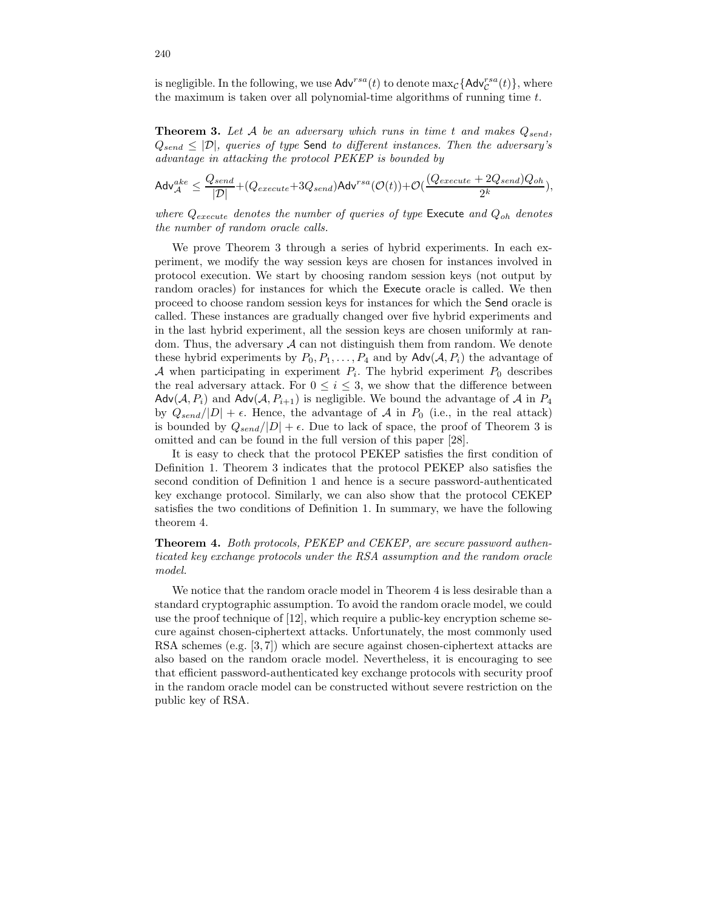is negligible. In the following, we use  $\mathsf{Adv}^{rsa}(t)$  to denote  $\max_{\mathcal{C}}\{\mathsf{Adv}^{rsa}_\mathcal{C}(t)\}\text{, where}$ the maximum is taken over all polynomial-time algorithms of running time  $t$ .

**Theorem 3.** Let A be an adversary which runs in time t and makes  $Q_{send}$ ,  $Q_{send} \leq |\mathcal{D}|$ , queries of type Send to different instances. Then the adversary's advantage in attacking the protocol PEKEP is bounded by

$$
\mathsf{Adv}^{ake}_{\mathcal{A}} \leq \frac{Q_{send}}{|\mathcal{D}|} + (Q_{execute} + 3Q_{send}) \mathsf{Adv}^{rsa}(\mathcal{O}(t)) + \mathcal{O}(\frac{(Q_{execute} + 2Q_{send})Q_{oh}}{2^k}),
$$

where  $Q_{execute}$  denotes the number of queries of type Execute and  $Q_{oh}$  denotes the number of random oracle calls.

We prove Theorem 3 through a series of hybrid experiments. In each experiment, we modify the way session keys are chosen for instances involved in protocol execution. We start by choosing random session keys (not output by random oracles) for instances for which the Execute oracle is called. We then proceed to choose random session keys for instances for which the Send oracle is called. These instances are gradually changed over five hybrid experiments and in the last hybrid experiment, all the session keys are chosen uniformly at random. Thus, the adversary  $A$  can not distinguish them from random. We denote these hybrid experiments by  $P_0, P_1, \ldots, P_4$  and by  $\mathsf{Adv}(\mathcal{A}, P_i)$  the advantage of A when participating in experiment  $P_i$ . The hybrid experiment  $P_0$  describes the real adversary attack. For  $0 \leq i \leq 3$ , we show that the difference between Adv $(A, P_i)$  and Adv $(A, P_{i+1})$  is negligible. We bound the advantage of A in  $P_4$ by  $Q_{send}/|D| + \epsilon$ . Hence, the advantage of A in  $P_0$  (i.e., in the real attack) is bounded by  $Q_{send}/|D| + \epsilon$ . Due to lack of space, the proof of Theorem 3 is omitted and can be found in the full version of this paper [28].

It is easy to check that the protocol PEKEP satisfies the first condition of Definition 1. Theorem 3 indicates that the protocol PEKEP also satisfies the second condition of Definition 1 and hence is a secure password-authenticated key exchange protocol. Similarly, we can also show that the protocol CEKEP satisfies the two conditions of Definition 1. In summary, we have the following theorem 4.

Theorem 4. Both protocols, PEKEP and CEKEP, are secure password authenticated key exchange protocols under the RSA assumption and the random oracle model.

We notice that the random oracle model in Theorem 4 is less desirable than a standard cryptographic assumption. To avoid the random oracle model, we could use the proof technique of [12], which require a public-key encryption scheme secure against chosen-ciphertext attacks. Unfortunately, the most commonly used RSA schemes (e.g. [3,7]) which are secure against chosen-ciphertext attacks are also based on the random oracle model. Nevertheless, it is encouraging to see that efficient password-authenticated key exchange protocols with security proof in the random oracle model can be constructed without severe restriction on the public key of RSA.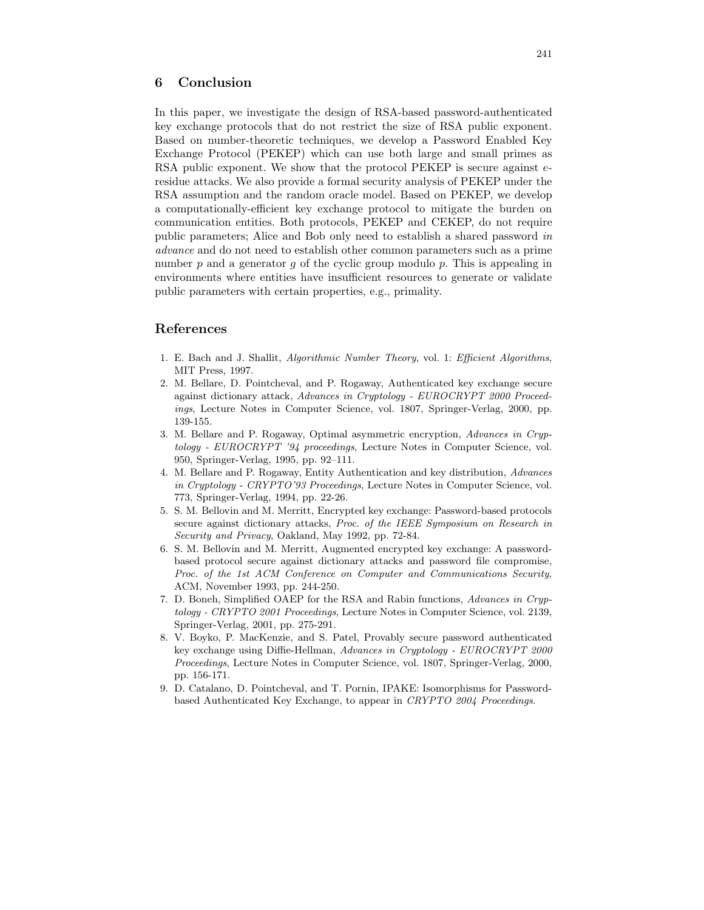## 6 Conclusion

In this paper, we investigate the design of RSA-based password-authenticated key exchange protocols that do not restrict the size of RSA public exponent. Based on number-theoretic techniques, we develop a Password Enabled Key Exchange Protocol (PEKEP) which can use both large and small primes as RSA public exponent. We show that the protocol PEKEP is secure against  $e$ residue attacks. We also provide a formal security analysis of PEKEP under the RSA assumption and the random oracle model. Based on PEKEP, we develop a computationally-efficient key exchange protocol to mitigate the burden on communication entities. Both protocols, PEKEP and CEKEP, do not require public parameters; Alice and Bob only need to establish a shared password in advance and do not need to establish other common parameters such as a prime number p and a generator q of the cyclic group modulo p. This is appealing in environments where entities have insufficient resources to generate or validate public parameters with certain properties, e.g., primality.

### References

- 1. E. Bach and J. Shallit, Algorithmic Number Theory, vol. 1: Efficient Algorithms, MIT Press, 1997.
- 2. M. Bellare, D. Pointcheval, and P. Rogaway, Authenticated key exchange secure against dictionary attack, Advances in Cryptology - EUROCRYPT 2000 Proceedings, Lecture Notes in Computer Science, vol. 1807, Springer-Verlag, 2000, pp. 139-155.
- 3. M. Bellare and P. Rogaway, Optimal asymmetric encryption, Advances in Cryptology - EUROCRYPT '94 proceedings, Lecture Notes in Computer Science, vol. 950, Springer-Verlag, 1995, pp. 92–111.
- 4. M. Bellare and P. Rogaway, Entity Authentication and key distribution, Advances in Cryptology - CRYPTO'93 Proceedings, Lecture Notes in Computer Science, vol. 773, Springer-Verlag, 1994, pp. 22-26.
- 5. S. M. Bellovin and M. Merritt, Encrypted key exchange: Password-based protocols secure against dictionary attacks, Proc. of the IEEE Symposium on Research in Security and Privacy, Oakland, May 1992, pp. 72-84.
- 6. S. M. Bellovin and M. Merritt, Augmented encrypted key exchange: A passwordbased protocol secure against dictionary attacks and password file compromise, Proc. of the 1st ACM Conference on Computer and Communications Security, ACM, November 1993, pp. 244-250.
- 7. D. Boneh, Simplified OAEP for the RSA and Rabin functions, Advances in Cryptology - CRYPTO 2001 Proceedings, Lecture Notes in Computer Science, vol. 2139, Springer-Verlag, 2001, pp. 275-291.
- 8. V. Boyko, P. MacKenzie, and S. Patel, Provably secure password authenticated key exchange using Diffie-Hellman, Advances in Cryptology - EUROCRYPT 2000 Proceedings, Lecture Notes in Computer Science, vol. 1807, Springer-Verlag, 2000, pp. 156-171.
- 9. D. Catalano, D. Pointcheval, and T. Pornin, IPAKE: Isomorphisms for Passwordbased Authenticated Key Exchange, to appear in CRYPTO 2004 Proceedings.